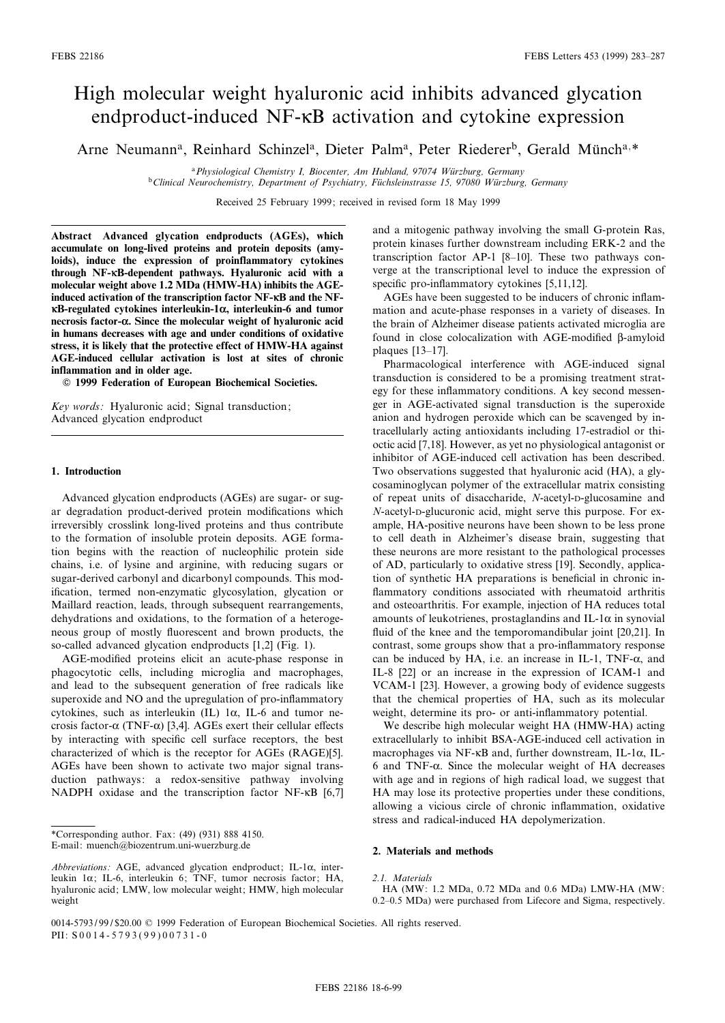# High molecular weight hyaluronic acid inhibits advanced glycation endproduct-induced  $NF$ - $\kappa$ B activation and cytokine expression

Arne Neumann<sup>a</sup>, Reinhard Schinzel<sup>a</sup>, Dieter Palm<sup>a</sup>, Peter Riederer<sup>b</sup>, Gerald Münch<sup>a,\*</sup>

<sup>a</sup> Physiological Chemistry I, Biocenter, Am Hubland, 97074 Würzburg, Germany bClinical Neurochemistry, Department of Psychiatry, Füchsleinstrasse 15, 97080 Würzburg, Germany

Received 25 February 1999; received in revised form 18 May 1999

Abstract Advanced glycation endproducts (AGEs), which accumulate on long-lived proteins and protein deposits (amyloids), induce the expression of proinflammatory cytokines through NF-KB-dependent pathways. Hyaluronic acid with a molecular weight above 1.2 MDa (HMW-HA) inhibits the AGEinduced activation of the transcription factor NF-KB and the NF- $\kappa$ B-regulated cytokines interleukin-1 $\alpha$ , interleukin-6 and tumor necrosis factor- $\alpha$ . Since the molecular weight of hyaluronic acid in humans decreases with age and under conditions of oxidative stress, it is likely that the protective effect of HMW-HA against AGE-induced cellular activation is lost at sites of chronic inflammation and in older age.

 $© 1999 Federation of European Biochemical Societies.$ 

Key words: Hyaluronic acid; Signal transduction; Advanced glycation endproduct

## 1. Introduction

Advanced glycation endproducts (AGEs) are sugar- or sugar degradation product-derived protein modifications which irreversibly crosslink long-lived proteins and thus contribute to the formation of insoluble protein deposits. AGE formation begins with the reaction of nucleophilic protein side chains, i.e. of lysine and arginine, with reducing sugars or sugar-derived carbonyl and dicarbonyl compounds. This modification, termed non-enzymatic glycosylation, glycation or Maillard reaction, leads, through subsequent rearrangements, dehydrations and oxidations, to the formation of a heterogeneous group of mostly fluorescent and brown products, the so-called advanced glycation endproducts [1,2] (Fig. 1).

AGE-modified proteins elicit an acute-phase response in phagocytotic cells, including microglia and macrophages, and lead to the subsequent generation of free radicals like superoxide and NO and the upregulation of pro-inflammatory cytokines, such as interleukin (IL)  $1\alpha$ , IL-6 and tumor necrosis factor- $\alpha$  (TNF- $\alpha$ ) [3,4]. AGEs exert their cellular effects by interacting with specific cell surface receptors, the best characterized of which is the receptor for AGEs (RAGE)[5]. AGEs have been shown to activate two major signal transduction pathways: a redox-sensitive pathway involving NADPH oxidase and the transcription factor NF- $\kappa$ B [6,7] and a mitogenic pathway involving the small G-protein Ras, protein kinases further downstream including ERK-2 and the transcription factor AP-1 [8-10]. These two pathways converge at the transcriptional level to induce the expression of specific pro-inflammatory cytokines  $[5,11,12]$ .

AGEs have been suggested to be inducers of chronic inflammation and acute-phase responses in a variety of diseases. In the brain of Alzheimer disease patients activated microglia are found in close colocalization with AGE-modified  $\beta$ -amyloid plaques  $[13-17]$ .

Pharmacological interference with AGE-induced signal transduction is considered to be a promising treatment strategy for these inflammatory conditions. A key second messenger in AGE-activated signal transduction is the superoxide anion and hydrogen peroxide which can be scavenged by intracellularly acting antioxidants including 17-estradiol or thioctic acid [7,18]. However, as yet no physiological antagonist or inhibitor of AGE-induced cell activation has been described. Two observations suggested that hyaluronic acid (HA), a glycosaminoglycan polymer of the extracellular matrix consisting of repeat units of disaccharide, N-acetyl-D-glucosamine and N-acetyl-D-glucuronic acid, might serve this purpose. For example, HA-positive neurons have been shown to be less prone to cell death in Alzheimer's disease brain, suggesting that these neurons are more resistant to the pathological processes of AD, particularly to oxidative stress [19]. Secondly, application of synthetic HA preparations is beneficial in chronic inflammatory conditions associated with rheumatoid arthritis and osteoarthritis. For example, injection of HA reduces total amounts of leukotrienes, prostaglandins and IL-1 $\alpha$  in synovial fluid of the knee and the temporomandibular joint [20,21]. In contrast, some groups show that a pro-inflammatory response can be induced by HA, i.e. an increase in IL-1, TNF- $\alpha$ , and IL-8 [22] or an increase in the expression of ICAM-1 and VCAM-1 [23]. However, a growing body of evidence suggests that the chemical properties of HA, such as its molecular weight, determine its pro- or anti-inflammatory potential.

We describe high molecular weight HA (HMW-HA) acting extracellularly to inhibit BSA-AGE-induced cell activation in macrophages via NF- $\kappa$ B and, further downstream, IL-1 $\alpha$ , IL-6 and TNF- $\alpha$ . Since the molecular weight of HA decreases with age and in regions of high radical load, we suggest that HA may lose its protective properties under these conditions, allowing a vicious circle of chronic inflammation, oxidative stress and radical-induced HA depolymerization.

## 2. Materials and methods

<sup>\*</sup>Corresponding author. Fax: (49) (931) 888 4150.

E-mail: muench@biozentrum.uni-wuerzburg.de

 $Abbreviations: AGE, advanced glycation endproduct; IL-1 $\alpha$ , inter$ leukin 1 $\alpha$ ; IL-6, interleukin 6; TNF, tumor necrosis factor; HA, hyaluronic acid; LMW, low molecular weight; HMW, high molecular weight

<sup>2.1.</sup> Materials

HA (MW: 1.2 MDa, 0.72 MDa and 0.6 MDa) LMW-HA (MW: 0.2-0.5 MDa) were purchased from Lifecore and Sigma, respectively.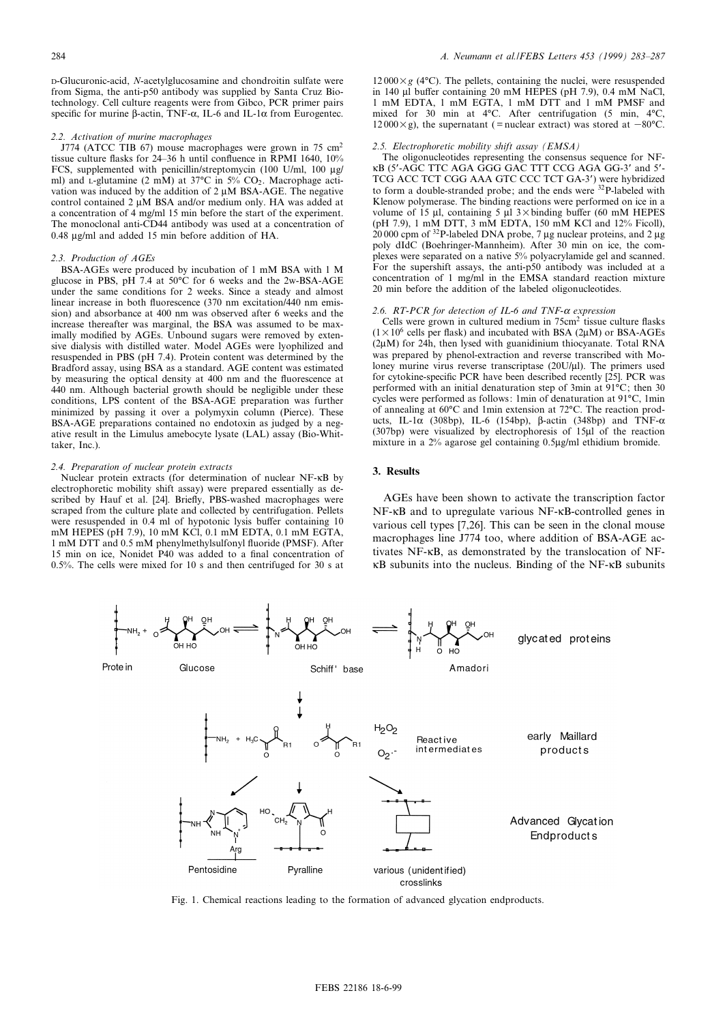## 2.2. Activation of murine macrophages

J774 (ATCC TIB 67) mouse macrophages were grown in 75 cm2 tissue culture flasks for  $24-36$  h until confluence in RPMI 1640,  $10\%$ FCS, supplemented with penicillin/streptomycin (100 U/ml, 100 µg/ ml) and L-glutamine (2 mM) at 37 $\degree$ C in 5% CO<sub>2</sub>. Macrophage activation was induced by the addition of 2  $\mu$ M BSA-AGE. The negative control contained 2  $\mu$ M BSA and/or medium only. HA was added at a concentration of 4 mg/ml 15 min before the start of the experiment. The monoclonal anti-CD44 antibody was used at a concentration of 0.48 µg/ml and added 15 min before addition of HA.

#### 2.3. Production of AGEs

BSA-AGEs were produced by incubation of 1 mM BSA with 1 M glucose in PBS, pH 7.4 at 50°C for 6 weeks and the 2w-BSA-AGE under the same conditions for 2 weeks. Since a steady and almost linear increase in both fluorescence (370 nm excitation/440 nm emission) and absorbance at 400 nm was observed after 6 weeks and the increase thereafter was marginal, the BSA was assumed to be maximally modified by AGEs. Unbound sugars were removed by extensive dialysis with distilled water. Model AGEs were lyophilized and resuspended in PBS (pH 7.4). Protein content was determined by the Bradford assay, using BSA as a standard. AGE content was estimated by measuring the optical density at 400 nm and the fluorescence at 440 nm. Although bacterial growth should be negligible under these conditions, LPS content of the BSA-AGE preparation was further minimized by passing it over a polymyxin column (Pierce). These BSA-AGE preparations contained no endotoxin as judged by a negative result in the Limulus amebocyte lysate (LAL) assay (Bio-Whittaker, Inc.).

#### 2.4. Preparation of nuclear protein extracts

Nuclear protein extracts (for determination of nuclear NF-KB by electrophoretic mobility shift assay) were prepared essentially as described by Hauf et al. [24]. Brie£y, PBS-washed macrophages were scraped from the culture plate and collected by centrifugation. Pellets were resuspended in  $0.4$  ml of hypotonic lysis buffer containing  $10$ mM HEPES (pH 7.9), 10 mM KCl, 0.1 mM EDTA, 0.1 mM EGTA, 1 mM DTT and 0.5 mM phenylmethylsulfonyl fluoride (PMSF). After 15 min on ice, Nonidet P40 was added to a final concentration of 0.5%. The cells were mixed for 10 s and then centrifuged for 30 s at

 $12000\times g$  (4 $\degree$ C). The pellets, containing the nuclei, were resuspended in 140 µl buffer containing 20 mM HEPES (pH 7.9), 0.4 mM NaCl, 1 mM EDTA, 1 mM EGTA, 1 mM DTT and 1 mM PMSF and mixed for 30 min at  $4^{\circ}$ C. After centrifugation (5 min,  $4^{\circ}$ C,  $12000\times g$ ), the supernatant (= nuclear extract) was stored at -80 $^{\circ}$ C.

#### 2.5. Electrophoretic mobility shift assay (EMSA)

The oligonucleotides representing the consensus sequence for NF-KB (5'-AGC TTC AGA GGG GAC TTT CCG AGA GG-3' and 5'-TCG ACC TCT CGG AAA GTC CCC TCT GA-3') were hybridized to form a double-stranded probe; and the ends were  $32P$ -labeled with Klenow polymerase. The binding reactions were performed on ice in a volume of 15  $\mu$ l, containing 5  $\mu$ l 3×binding buffer (60 mM HEPES (pH 7.9), 1 mM DTT, 3 mM EDTA, 150 mM KCl and 12% Ficoll),  $20000$  cpm of <sup>32</sup>P-labeled DNA probe, 7 µg nuclear proteins, and 2 µg poly dIdC (Boehringer-Mannheim). After 30 min on ice, the complexes were separated on a native 5% polyacrylamide gel and scanned. For the supershift assays, the anti-p50 antibody was included at a concentration of 1 mg/ml in the EMSA standard reaction mixture 20 min before the addition of the labeled oligonucleotides.

## 2.6. RT-PCR for detection of IL-6 and TNF- $\alpha$  expression

Cells were grown in cultured medium in  $75 \text{cm}^2$  tissue culture flasks  $(1 \times 10^6$  cells per flask) and incubated with BSA (2µM) or BSA-AGEs  $(2\mu)$  for 24h, then lysed with guanidinium thiocyanate. Total RNA was prepared by phenol-extraction and reverse transcribed with Moloney murine virus reverse transcriptase (20U/Wl). The primers used for cytokine-specific PCR have been described recently [25]. PCR was performed with an initial denaturation step of 3min at  $91^{\circ}$ C; then 30 cycles were performed as follows: 1min of denaturation at 91°C, 1min of annealing at 60°C and 1min extension at 72°C. The reaction products, IL-1 $\alpha$  (308bp), IL-6 (154bp),  $\beta$ -actin (348bp) and TNF- $\alpha$ (307bp) were visualized by electrophoresis of 15Wl of the reaction mixture in a 2% agarose gel containing 0.5µg/ml ethidium bromide.

## 3. Results

AGEs have been shown to activate the transcription factor  $NF-\kappa B$  and to upregulate various  $NF-\kappa B$ -controlled genes in various cell types [7,26]. This can be seen in the clonal mouse macrophages line J774 too, where addition of BSA-AGE activates NF-KB, as demonstrated by the translocation of NF- $\kappa$ B subunits into the nucleus. Binding of the NF- $\kappa$ B subunits



Fig. 1. Chemical reactions leading to the formation of advanced glycation endproducts.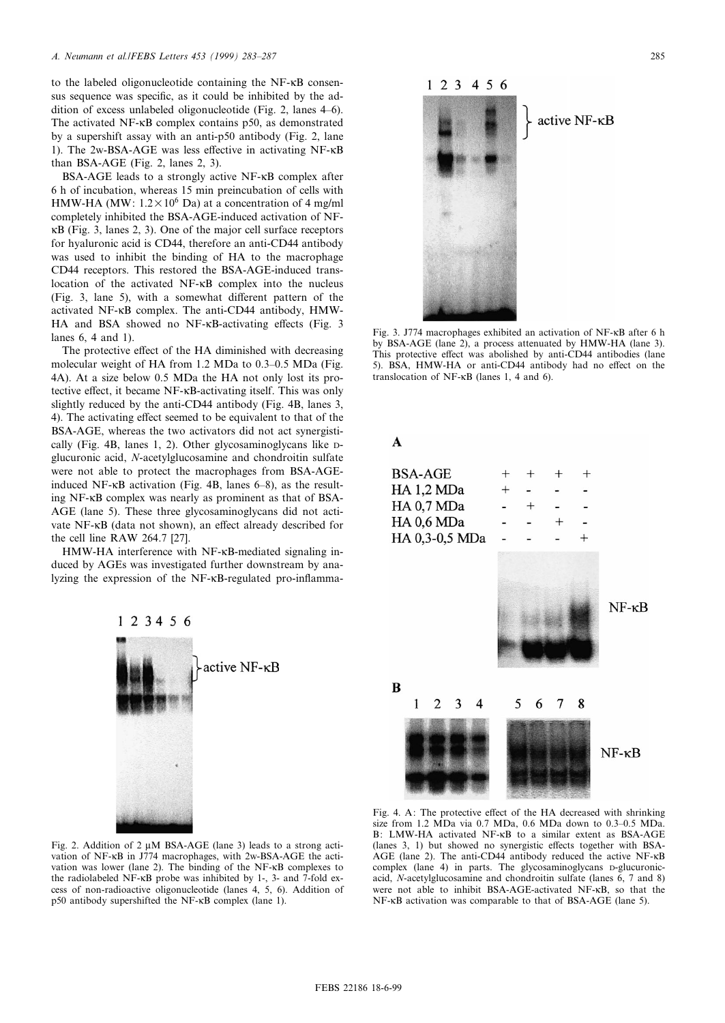to the labeled oligonucleotide containing the  $NF$ - $\kappa$ B consensus sequence was specific, as it could be inhibited by the addition of excess unlabeled oligonucleotide (Fig. 2, lanes 4–6). The activated  $NF$ - $\kappa$ B complex contains p50, as demonstrated by a supershift assay with an anti-p50 antibody (Fig. 2, lane 1). The  $2w$ -BSA-AGE was less effective in activating NF- $\kappa$ B than BSA-AGE (Fig. 2, lanes 2, 3).

BSA-AGE leads to a strongly active NF-KB complex after 6 h of incubation, whereas 15 min preincubation of cells with HMW-HA (MW:  $1.2 \times 10^6$  Da) at a concentration of 4 mg/ml completely inhibited the BSA-AGE-induced activation of NF- $\kappa$ B (Fig. 3, lanes 2, 3). One of the major cell surface receptors for hyaluronic acid is CD44, therefore an anti-CD44 antibody was used to inhibit the binding of HA to the macrophage CD44 receptors. This restored the BSA-AGE-induced translocation of the activated  $NF- $\kappa$ B$  complex into the nucleus  $(Fig. 3, 1)$  ane 5), with a somewhat different pattern of the activated NF-KB complex. The anti-CD44 antibody, HMW-HA and BSA showed no NF-KB-activating effects (Fig. 3 lanes 6, 4 and 1).

The protective effect of the HA diminished with decreasing molecular weight of HA from 1.2 MDa to 0.3-0.5 MDa (Fig. 4A). At a size below 0.5 MDa the HA not only lost its protective effect, it became  $NF-\kappa B$ -activating itself. This was only slightly reduced by the anti-CD44 antibody (Fig. 4B, lanes 3, 4). The activating effect seemed to be equivalent to that of the BSA-AGE, whereas the two activators did not act synergistically (Fig. 4B, lanes 1, 2). Other glycosaminoglycans like Dglucuronic acid, N-acetylglucosamine and chondroitin sulfate were not able to protect the macrophages from BSA-AGEinduced NF- $\kappa$ B activation (Fig. 4B, lanes 6-8), as the resulting NF-KB complex was nearly as prominent as that of BSA-AGE (lane 5). These three glycosaminoglycans did not activate NF-KB (data not shown), an effect already described for the cell line RAW 264.7 [27].

 $HMW-HA$  interference with  $NF-\kappa B$ -mediated signaling induced by AGEs was investigated further downstream by analyzing the expression of the  $NF$ - $\kappa$ B-regulated pro-inflamma-



Fig. 2. Addition of 2  $\mu$ M BSA-AGE (lane 3) leads to a strong activation of NF-KB in J774 macrophages, with 2w-BSA-AGE the activation was lower (lane 2). The binding of the  $NF-\kappa B$  complexes to the radiolabeled NF- $\kappa$ B probe was inhibited by 1-, 3- and 7-fold excess of non-radioactive oligonucleotide (lanes 4, 5, 6). Addition of  $p50$  antibody supershifted the NF- $\kappa$ B complex (lane 1).



Fig. 3. J774 macrophages exhibited an activation of  $NF-\kappa B$  after 6 h by BSA-AGE (lane 2), a process attenuated by HMW-HA (lane 3). This protective effect was abolished by anti-CD44 antibodies (lane 5). BSA, HMW-HA or anti-CD44 antibody had no effect on the translocation of NF- $\kappa$ B (lanes 1, 4 and 6).

 $\mathbf A$ 



Fig. 4. A: The protective effect of the HA decreased with shrinking size from 1.2  $\widehat{MD}$ a via 0.7 MDa, 0.6 MDa down to 0.3-0.5 MDa. B: LMW-HA activated NF-KB to a similar extent as BSA-AGE (lanes  $3, 1$ ) but showed no synergistic effects together with BSA-AGE (lane 2). The anti-CD44 antibody reduced the active  $NF-\kappa B$ complex (lane 4) in parts. The glycosaminoglycans D-glucuronicacid, N-acetylglucosamine and chondroitin sulfate (lanes 6, 7 and 8) were not able to inhibit BSA-AGE-activated NF-KB, so that the NF-KB activation was comparable to that of BSA-AGE (lane 5).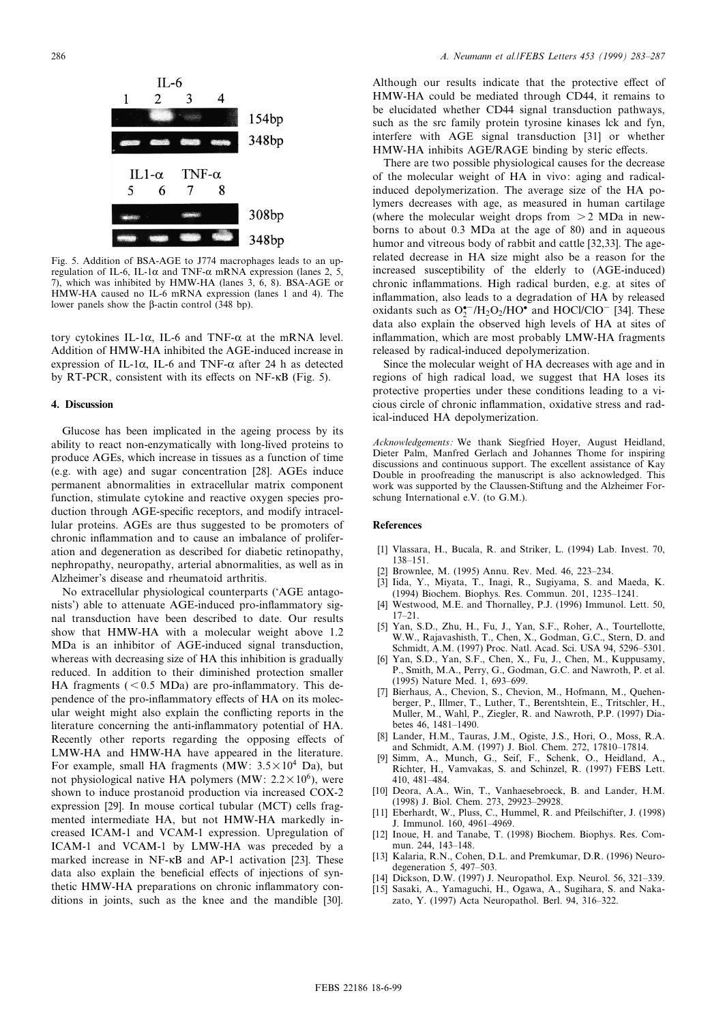

Fig. 5. Addition of BSA-AGE to J774 macrophages leads to an upregulation of IL-6, IL-1 $\alpha$  and TNF- $\alpha$  mRNA expression (lanes 2, 5, 7), which was inhibited by HMW-HA (lanes 3, 6, 8). BSA-AGE or HMW-HA caused no IL-6 mRNA expression (lanes 1 and 4). The lower panels show the  $\beta$ -actin control (348 bp).

tory cytokines IL-1 $\alpha$ , IL-6 and TNF- $\alpha$  at the mRNA level. Addition of HMW-HA inhibited the AGE-induced increase in expression of IL-1 $\alpha$ , IL-6 and TNF- $\alpha$  after 24 h as detected by RT-PCR, consistent with its effects on  $NF-\kappa B$  (Fig. 5).

## 4. Discussion

Glucose has been implicated in the ageing process by its ability to react non-enzymatically with long-lived proteins to produce AGEs, which increase in tissues as a function of time (e.g. with age) and sugar concentration [28]. AGEs induce permanent abnormalities in extracellular matrix component function, stimulate cytokine and reactive oxygen species production through AGE-specific receptors, and modify intracellular proteins. AGEs are thus suggested to be promoters of chronic inflammation and to cause an imbalance of proliferation and degeneration as described for diabetic retinopathy, nephropathy, neuropathy, arterial abnormalities, as well as in Alzheimer's disease and rheumatoid arthritis.

No extracellular physiological counterparts (`AGE antagonists') able to attenuate AGE-induced pro-inflammatory signal transduction have been described to date. Our results show that HMW-HA with a molecular weight above 1.2 MDa is an inhibitor of AGE-induced signal transduction, whereas with decreasing size of HA this inhibition is gradually reduced. In addition to their diminished protection smaller HA fragments  $( $0.5$  MDa) are pro-inflammatory. This de$ pendence of the pro-inflammatory effects of HA on its molecular weight might also explain the conflicting reports in the literature concerning the anti-inflammatory potential of HA. Recently other reports regarding the opposing effects of LMW-HA and HMW-HA have appeared in the literature. For example, small HA fragments (MW:  $3.5 \times 10^4$  Da), but not physiological native HA polymers (MW:  $2.2 \times 10^6$ ), were shown to induce prostanoid production via increased COX-2 expression [29]. In mouse cortical tubular (MCT) cells fragmented intermediate HA, but not HMW-HA markedly increased ICAM-1 and VCAM-1 expression. Upregulation of ICAM-1 and VCAM-1 by LMW-HA was preceded by a marked increase in  $NF$ - $\kappa$ B and AP-1 activation [23]. These data also explain the beneficial effects of injections of synthetic HMW-HA preparations on chronic inflammatory conditions in joints, such as the knee and the mandible [30].

Although our results indicate that the protective effect of HMW-HA could be mediated through CD44, it remains to be elucidated whether CD44 signal transduction pathways, such as the src family protein tyrosine kinases lck and fyn, interfere with AGE signal transduction [31] or whether HMW-HA inhibits AGE/RAGE binding by steric effects.

There are two possible physiological causes for the decrease of the molecular weight of HA in vivo: aging and radicalinduced depolymerization. The average size of the HA polymers decreases with age, as measured in human cartilage (where the molecular weight drops from  $> 2$  MDa in newborns to about 0.3 MDa at the age of 80) and in aqueous humor and vitreous body of rabbit and cattle [32,33]. The agerelated decrease in HA size might also be a reason for the increased susceptibility of the elderly to (AGE-induced) chronic inflammations. High radical burden, e.g. at sites of inflammation, also leads to a degradation of HA by released oxidants such as  $O_2^{\bullet-}/H_2O_2/HO^{\bullet}$  and HOCl/ClO<sup>-</sup> [34]. These data also explain the observed high levels of HA at sites of inflammation, which are most probably LMW-HA fragments released by radical-induced depolymerization.

Since the molecular weight of HA decreases with age and in regions of high radical load, we suggest that HA loses its protective properties under these conditions leading to a vicious circle of chronic in£ammation, oxidative stress and radical-induced HA depolymerization.

Acknowledgements: We thank Siegfried Hoyer, August Heidland, Dieter Palm, Manfred Gerlach and Johannes Thome for inspiring discussions and continuous support. The excellent assistance of Kay Double in proofreading the manuscript is also acknowledged. This work was supported by the Claussen-Stiftung and the Alzheimer Forschung International e.V. (to G.M.).

### References

- [1] Vlassara, H., Bucala, R. and Striker, L. (1994) Lab. Invest. 70, 138^151.
- [2] Brownlee, M. (1995) Annu. Rev. Med. 46, 223-234.
- [3] Iida, Y., Miyata, T., Inagi, R., Sugiyama, S. and Maeda, K. (1994) Biochem. Biophys. Res. Commun. 201, 1235^1241.
- [4] Westwood, M.E. and Thornalley, P.J. (1996) Immunol. Lett. 50,  $17 - 21$
- [5] Yan, S.D., Zhu, H., Fu, J., Yan, S.F., Roher, A., Tourtellotte, W.W., Rajavashisth, T., Chen, X., Godman, G.C., Stern, D. and Schmidt, A.M. (1997) Proc. Natl. Acad. Sci. USA 94, 5296-5301.
- [6] Yan, S.D., Yan, S.F., Chen, X., Fu, J., Chen, M., Kuppusamy, P., Smith, M.A., Perry, G., Godman, G.C. and Nawroth, P. et al. (1995) Nature Med. 1, 693-699.
- [7] Bierhaus, A., Chevion, S., Chevion, M., Hofmann, M., Quehenberger, P., Illmer, T., Luther, T., Berentshtein, E., Tritschler, H., Muller, M., Wahl, P., Ziegler, R. and Nawroth, P.P. (1997) Diabetes 46, 1481-1490.
- [8] Lander, H.M., Tauras, J.M., Ogiste, J.S., Hori, O., Moss, R.A. and Schmidt, A.M. (1997) J. Biol. Chem. 272, 17810-17814.
- Simm, A., Munch, G., Seif, F., Schenk, O., Heidland, A., Richter, H., Vamvakas, S. and Schinzel, R. (1997) FEBS Lett. 410, 481^484.
- [10] Deora, A.A., Win, T., Vanhaesebroeck, B. and Lander, H.M. (1998) J. Biol. Chem. 273, 29923^29928.
- [11] Eberhardt, W., Pluss, C., Hummel, R. and Pfeilschifter, J. (1998) J. Immunol. 160, 4961^4969.
- [12] Inoue, H. and Tanabe, T. (1998) Biochem. Biophys. Res. Commun. 244, 143-148.
- [13] Kalaria, R.N., Cohen, D.L. and Premkumar, D.R. (1996) Neurodegeneration  $5, 497-503$ .
- [14] Dickson, D.W. (1997) J. Neuropathol. Exp. Neurol. 56, 321–339.
- [15] Sasaki, A., Yamaguchi, H., Ogawa, A., Sugihara, S. and Nakazato, Y. (1997) Acta Neuropathol. Berl. 94, 316^322.